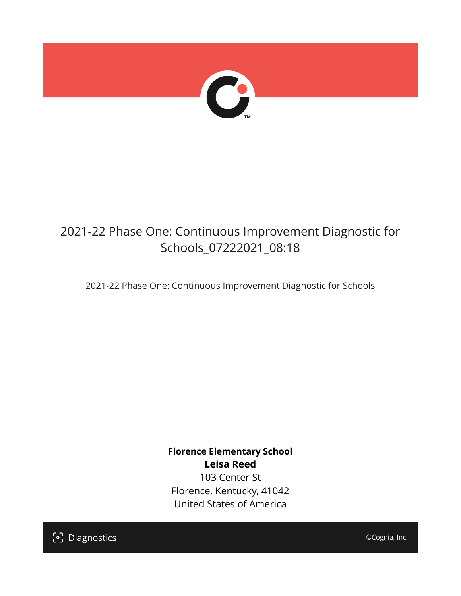

# 2021-22 Phase One: Continuous Improvement Diagnostic for Schools\_07222021\_08:18

2021-22 Phase One: Continuous Improvement Diagnostic for Schools

**Florence Elementary School Leisa Reed** 103 Center St Florence, Kentucky, 41042 United States of America

[၁] Diagnostics

©Cognia, Inc.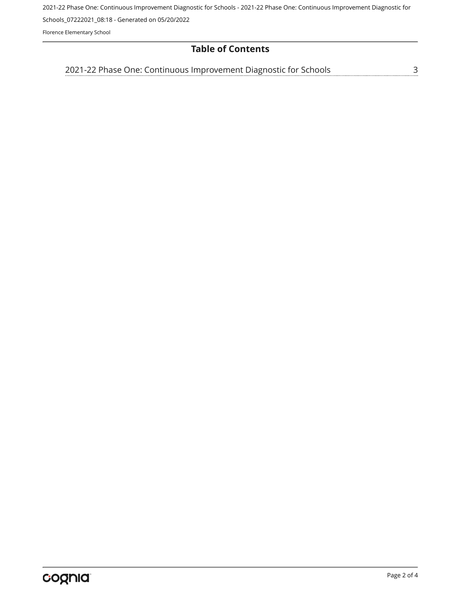2021-22 Phase One: Continuous Improvement Diagnostic for Schools - 2021-22 Phase One: Continuous Improvement Diagnostic for

Schools\_07222021\_08:18 - Generated on 05/20/2022

Florence Elementary School

## **Table of Contents**

<u>[3](#page-2-0)</u> [2021-22 Phase One: Continuous Improvement Diagnostic for Schools](#page-2-0)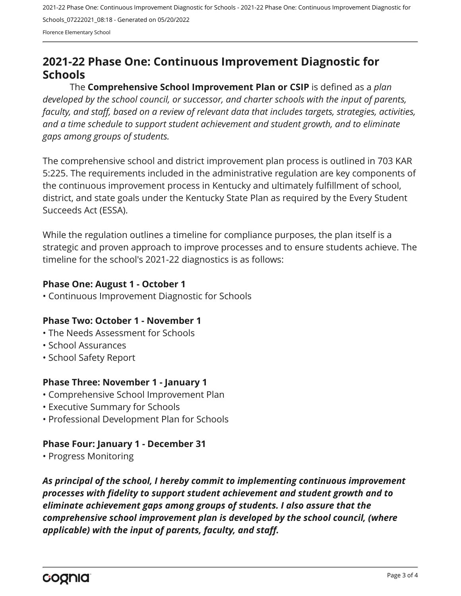2021-22 Phase One: Continuous Improvement Diagnostic for Schools - 2021-22 Phase One: Continuous Improvement Diagnostic for Schools\_07222021\_08:18 - Generated on 05/20/2022 Florence Elementary School

<span id="page-2-0"></span>**2021-22 Phase One: Continuous Improvement Diagnostic for Schools**

The **Comprehensive School Improvement Plan or CSIP** is defined as a *plan developed by the school council, or successor, and charter schools with the input of parents, faculty, and staff, based on a review of relevant data that includes targets, strategies, activities, and a time schedule to support student achievement and student growth, and to eliminate gaps among groups of students.*

The comprehensive school and district improvement plan process is outlined in 703 KAR 5:225. The requirements included in the administrative regulation are key components of the continuous improvement process in Kentucky and ultimately fulfillment of school, district, and state goals under the Kentucky State Plan as required by the Every Student Succeeds Act (ESSA).

While the regulation outlines a timeline for compliance purposes, the plan itself is a strategic and proven approach to improve processes and to ensure students achieve. The timeline for the school's 2021-22 diagnostics is as follows:

### **Phase One: August 1 - October 1**

• Continuous Improvement Diagnostic for Schools

### **Phase Two: October 1 - November 1**

- The Needs Assessment for Schools
- School Assurances
- School Safety Report

### **Phase Three: November 1 - January 1**

- Comprehensive School Improvement Plan
- Executive Summary for Schools
- Professional Development Plan for Schools

### **Phase Four: January 1 - December 31**

• Progress Monitoring

*As principal of the school, I hereby commit to implementing continuous improvement processes with fidelity to support student achievement and student growth and to eliminate achievement gaps among groups of students. I also assure that the comprehensive school improvement plan is developed by the school council, (where applicable) with the input of parents, faculty, and staff.*